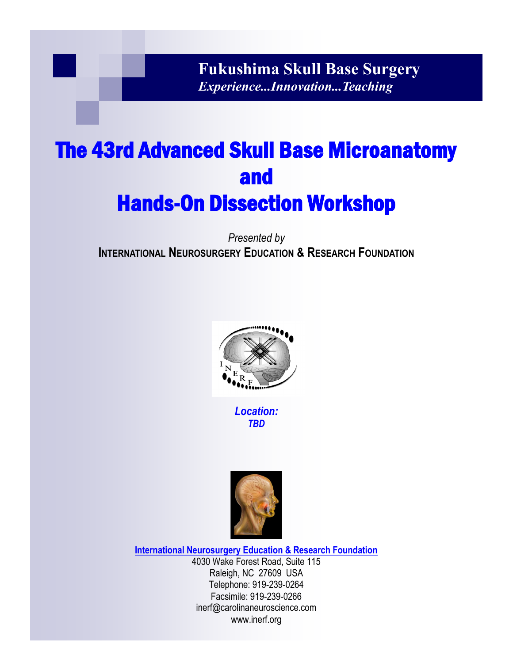**Fukushima Skull Base Surgery** *Experience...Innovation...Teaching*

# The 43rd Advanced Skull Base Microanatomy and Hands-On Dissection Workshop

*Presented by* **INTERNATIONAL NEUROSURGERY EDUCATION & RESEARCH FOUNDATION**



*Location: TBD*



**International Neurosurgery Education & Research Foundation** 4030 Wake Forest Road, Suite 115 Raleigh, NC 27609 USA Telephone: 919-239-0264 Facsimile: 919-239-0266 inerf@carolinaneuroscience.com www.inerf.org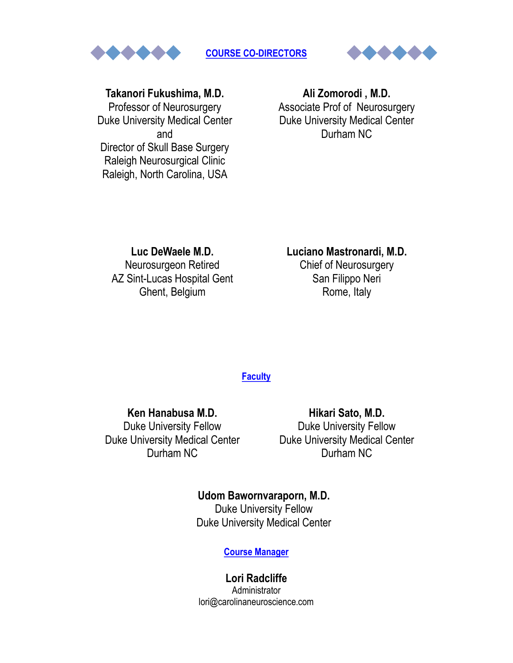

**COURSE CO-DIRECTORS**



# **Takanori Fukushima, M.D.**

Professor of Neurosurgery Duke University Medical Center and Director of Skull Base Surgery Raleigh Neurosurgical Clinic Raleigh, North Carolina, USA

# **Ali Zomorodi , M.D.** Associate Prof of Neurosurgery Duke University Medical Center Durham NC

**Luc DeWaele M.D.** Neurosurgeon Retired AZ Sint-Lucas Hospital Gent Ghent, Belgium

# **Luciano Mastronardi, M.D.**

Chief of Neurosurgery San Filippo Neri Rome, Italy

#### **Faculty**

**Ken Hanabusa M.D.** Duke University Fellow Duke University Medical Center Durham NC

**Hikari Sato, M.D.** Duke University Fellow Duke University Medical Center Durham NC

# **Udom Bawornvaraporn, M.D.**

Duke University Fellow Duke University Medical Center

#### **Course Manager**

**Lori Radcliffe** Administrator lori@carolinaneuroscience.com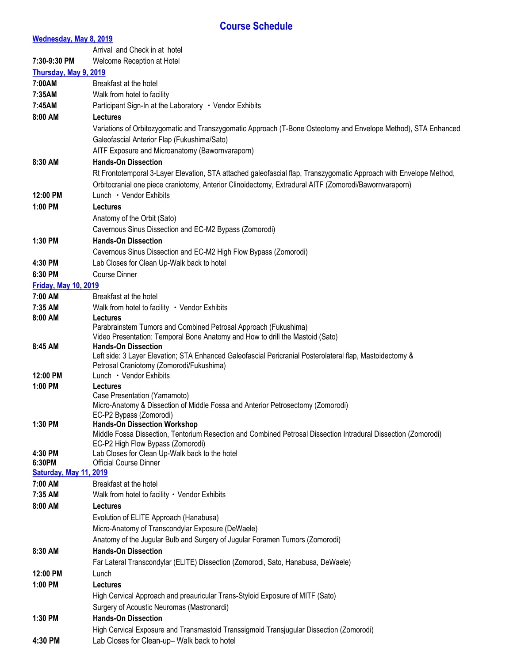#### **Course Schedule**

#### **Wednesday, May 8, 2019** Arrival and Check in at hotel **7:30-9:30 PM** Welcome Reception at Hotel **Thursday, May 9, 2019 7:00AM** Breakfast at the hotel **7:35AM** Walk from hotel to facility **7:45AM** Participant Sign-In at the Laboratory ・Vendor Exhibits **8:00 AM Lectures** Variations of Orbitozygomatic and Transzygomatic Approach (T-Bone Osteotomy and Envelope Method), STA Enhanced Galeofascial Anterior Flap (Fukushima/Sato) AITF Exposure and Microanatomy (Bawornvaraporn) **8:30 AM Hands-On Dissection**  Rt Frontotemporal 3-Layer Elevation, STA attached galeofascial flap, Transzygomatic Approach with Envelope Method, Orbitocranial one piece craniotomy, Anterior Clinoidectomy, Extradural AITF (Zomorodi/Bawornvaraporn) 12:00 PM Lunch · Vendor Exhibits **1:00 PM Lectures** Anatomy of the Orbit (Sato) Cavernous Sinus Dissection and EC-M2 Bypass (Zomorodi) **1:30 PM Hands-On Dissection**  Cavernous Sinus Dissection and EC-M2 High Flow Bypass (Zomorodi) **4:30 PM** Lab Closes for Clean Up-Walk back to hotel **6:30 PM** Course Dinner **Friday, May 10, 2019 7:00 AM** Breakfast at the hotel 7:35 AM Walk from hotel to facility · Vendor Exhibits **8:00 AM Lectures** Parabrainstem Tumors and Combined Petrosal Approach (Fukushima) Video Presentation: Temporal Bone Anatomy and How to drill the Mastoid (Sato) **8:45 AM Hands-On Dissection**  Left side: 3 Layer Elevation; STA Enhanced Galeofascial Pericranial Posterolateral flap, Mastoidectomy & Petrosal Craniotomy (Zomorodi/Fukushima) 12:00 PM Lunch · Vendor Exhibits **1:00 PM Lectures** Case Presentation (Yamamoto) Micro-Anatomy & Dissection of Middle Fossa and Anterior Petrosectomy (Zomorodi) EC-P2 Bypass (Zomorodi) **1:30 PM Hands-On Dissection Workshop** Middle Fossa Dissection, Tentorium Resection and Combined Petrosal Dissection Intradural Dissection (Zomorodi) EC-P2 High Flow Bypass (Zomorodi) **4:30 PM** Lab Closes for Clean Up-Walk back to the hotel **6:30PM** Official Course Dinner **Saturday, May 11, 2019 7:00 AM** Breakfast at the hotel 7:35 AM Walk from hotel to facility · Vendor Exhibits **8:00 AM Lectures** Evolution of ELITE Approach (Hanabusa) Micro-Anatomy of Transcondylar Exposure (DeWaele) Anatomy of the Jugular Bulb and Surgery of Jugular Foramen Tumors (Zomorodi) **8:30 AM Hands-On Dissection**  Far Lateral Transcondylar (ELITE) Dissection (Zomorodi, Sato, Hanabusa, DeWaele) **12:00 PM** Lunch **1:00 PM Lectures** High Cervical Approach and preauricular Trans-Styloid Exposure of MITF (Sato) Surgery of Acoustic Neuromas (Mastronardi) **1:30 PM Hands-On Dissection**  High Cervical Exposure and Transmastoid Transsigmoid Transjugular Dissection (Zomorodi) **4:30 PM** Lab Closes for Clean-up– Walk back to hotel